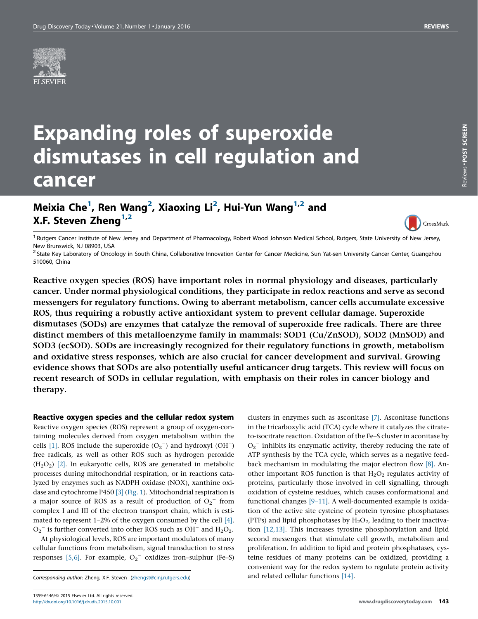

# Expanding roles of superoxide dismutases in cell regulation and cancer

# Meixia Che<sup>1</sup>, Ren Wang<sup>2</sup>, Xiaoxing Li<sup>2</sup>, Hui-Yun Wang<sup>1,2</sup> and X.F. Steven Zheng $1,2$



Reviews -

POST SCREEN

Reviews . POST SCREEN

<sup>1</sup> Rutgers Cancer Institute of New Jersey and Department of Pharmacology, Robert Wood Johnson Medical School, Rutgers, State University of New Jersey, New Brunswick, NJ 08903, USA<br><sup>2</sup> State Key Laboratory of Oncology in South China, Collaborative Innovation Center for Cancer Medicine, Sun Yat-sen University Cancer Center, Guangzhou

510060, China

Reactive oxygen species (ROS) have important roles in normal physiology and diseases, particularly cancer. Under normal physiological conditions, they participate in redox reactions and serve as second messengers for regulatory functions. Owing to aberrant metabolism, cancer cells accumulate excessive ROS, thus requiring a robustly active antioxidant system to prevent cellular damage. Superoxide dismutases (SODs) are enzymes that catalyze the removal of superoxide free radicals. There are three distinct members of this metalloenzyme family in mammals: SOD1 (Cu/ZnSOD), SOD2 (MnSOD) and SOD3 (ecSOD). SODs are increasingly recognized for their regulatory functions in growth, metabolism and oxidative stress responses, which are also crucial for cancer development and survival. Growing evidence shows that SODs are also potentially useful anticancer drug targets. This review will focus on recent research of SODs in cellular regulation, with emphasis on their roles in cancer biology and therapy.

Reactive oxygen species and the cellular redox system

Reactive oxygen species (ROS) represent a group of oxygen-containing molecules derived from oxygen metabolism within the cells [\[1\]](#page-5-0). ROS include the superoxide  $(O_2^-)$  and hydroxyl  $(OH^-)$ free radicals, as well as other ROS such as hydrogen peroxide  $(H<sub>2</sub>O<sub>2</sub>)$  [\[2\].](#page-5-0) In eukaryotic cells, ROS are generated in metabolic processes during mitochondrial respiration, or in reactions catalyzed by enzymes such as NADPH oxidase (NOX), xanthine oxidase and cytochrome P450 [\[3\]](#page-5-0) [\(Fig.](#page-1-0) 1). Mitochondrial respiration is a major source of ROS as a result of production of  $O_2$ <sup>-</sup> from complex I and III of the electron transport chain, which is estimated to represent 1–2% of the oxygen consumed by the cell [\[4\].](#page-5-0)  $O_2$ <sup>-</sup> is further converted into other ROS such as OH<sup>-</sup> and H<sub>2</sub>O<sub>2</sub>.

At physiological levels, ROS are important modulators of many cellular functions from metabolism, signal transduction to stress responses [\[5,6\]](#page-5-0). For example,  $O_2$ <sup>-</sup> oxidizes iron-sulphur (Fe-S)

clusters in enzymes such as asconitase [\[7\].](#page-5-0) Asconitase functions in the tricarboxylic acid (TCA) cycle where it catalyzes the citrateto-isocitrate reaction. Oxidation of the Fe–S cluster in aconitase by  $O_2$ <sup>-</sup> inhibits its enzymatic activity, thereby reducing the rate of ATP synthesis by the TCA cycle, which serves as a negative feedback mechanism in modulating the major electron flow [\[8\].](#page-5-0) Another important ROS function is that  $H_2O_2$  regulates activity of proteins, particularly those involved in cell signalling, through oxidation of cysteine residues, which causes conformational and functional changes [\[9–11\]](#page-5-0). A well-documented example is oxidation of the active site cysteine of protein tyrosine phosphatases (PTPs) and lipid phosphotases by  $H_2O_2$ , leading to their inactivation [\[12,13\]](#page-5-0). This increases tyrosine phosphorylation and lipid second messengers that stimulate cell growth, metabolism and proliferation. In addition to lipid and protein phosphatases, cysteine residues of many proteins can be oxidized, providing a convenient way for the redox system to regulate protein activity and related cellular functions [\[14\].](#page-5-0)

Corresponding author: Zheng, X.F. Steven [\(zhengst@cinj.rutgers.edu](mailto:zhengst@cinj.rutgers.edu))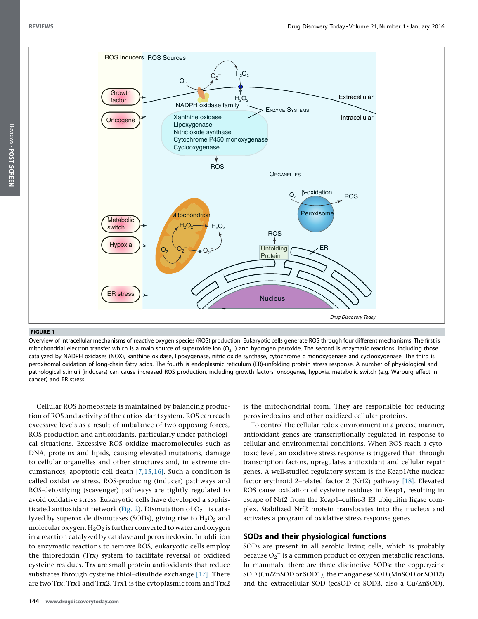

<span id="page-1-0"></span>

#### FIGURE 1

Overview of intracellular mechanisms of reactive oxygen species (ROS) production. Eukaryotic cells generate ROS through four different mechanisms. The first is mitochondrial electron transfer which is a main source of superoxide ion  $(O_2^-)$  and hydrogen peroxide. The second is enzymatic reactions, including those catalyzed by NADPH oxidases (NOX), xanthine oxidase, lipoxygenase, nitric oxide synthase, cytochrome c monoxygenase and cyclooxygenase. The third is peroxisomal oxidation of long-chain fatty acids. The fourth is endoplasmic reticulum (ER)-unfolding protein stress response. A number of physiological and pathological stimuli (inducers) can cause increased ROS production, including growth factors, oncogenes, hypoxia, metabolic switch (e.g. Warburg effect in cancer) and ER stress.

Cellular ROS homeostasis is maintained by balancing production of ROS and activity of the antioxidant system. ROS can reach excessive levels as a result of imbalance of two opposing forces, ROS production and antioxidants, particularly under pathological situations. Excessive ROS oxidize macromolecules such as DNA, proteins and lipids, causing elevated mutations, damage to cellular organelles and other structures and, in extreme circumstances, apoptotic cell death [\[7,15,16\].](#page-5-0) Such a condition is called oxidative stress. ROS-producing (inducer) pathways and ROS-detoxifying (scavenger) pathways are tightly regulated to avoid oxidative stress. Eukaryotic cells have developed a sophis-ticated antioxidant network [\(Fig.](#page-2-0) 2). Dismutation of  $O_2^-$  is catalyzed by superoxide dismutases (SODs), giving rise to  $H_2O_2$  and molecular oxygen.  $H_2O_2$  is further converted to water and oxygen in a reaction catalyzed by catalase and peroxiredoxin. In addition to enzymatic reactions to remove ROS, eukaryotic cells employ the thioredoxin (Trx) system to facilitate reversal of oxidized cysteine residues. Trx are small protein antioxidants that reduce substrates through cysteine thiol–disulfide exchange [\[17\].](#page-5-0) There are two Trx: Trx1 and Trx2. Trx1 is the cytoplasmic form and Trx2

is the mitochondrial form. They are responsible for reducing peroxiredoxins and other oxidized cellular proteins.

To control the cellular redox environment in a precise manner, antioxidant genes are transcriptionally regulated in response to cellular and environmental conditions. When ROS reach a cytotoxic level, an oxidative stress response is triggered that, through transcription factors, upregulates antioxidant and cellular repair genes. A well-studied regulatory system is the Keap1/the nuclear factor erythroid 2–related factor 2 (Nrf2) pathway [\[18\].](#page-5-0) Elevated ROS cause oxidation of cysteine residues in Keap1, resulting in escape of Nrf2 from the Keap1–cullin-3 E3 ubiquitin ligase complex. Stabilized Nrf2 protein translocates into the nucleus and activates a program of oxidative stress response genes.

# SODs and their physiological functions

SODs are present in all aerobic living cells, which is probably because  $O_2^-$  is a common product of oxygen metabolic reactions. In mammals, there are three distinctive SODs: the copper/zinc SOD (Cu/ZnSOD or SOD1), the manganese SOD (MnSOD or SOD2) and the extracellular SOD (ecSOD or SOD3, also a Cu/ZnSOD).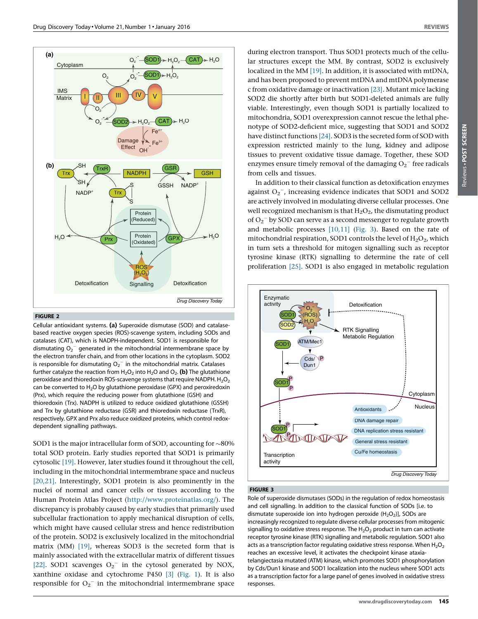Reviews -

 POST SCREENReviews . POST SCREEN

<span id="page-2-0"></span>

#### FIGURE 2

Cellular antioxidant systems. (a) Superoxide dismutase (SOD) and catalasebased reactive oxygen species (ROS)-scavenge system, including SODs and catalases (CAT), which is NADPH-independent. SOD1 is responsible for dismutating  $O_2^+$  generated in the mitochondrial intermembrane space by the electron transfer chain, and from other locations in the cytoplasm. SOD2 is responsible for dismutating  $\overline{\mathrm{O_2}^{-}}$  in the mitochondrial matrix. Catalases further catalyze the reaction from  $H_2O_2$  into  $H_2O$  and  $O_2$ . (b) The glutathione peroxidase and thioredoxin ROS-scavenge systems that require NADPH.  $H_2O_2$ can be converted to  $H_2O$  by glutathione peroxidase (GPX) and peroxiredoxin (Prx), which require the reducing power from glutathione (GSH) and thioredoxin (Trx). NADPH is utilized to reduce oxidized glutathione (GSSH) and Trx by glutathione reductase (GSR) and thioredoxin reductase (TrxR), respectively. GPX and Prx also reduce oxidized proteins, which control redoxdependent signalling pathways.

SOD1 is the major intracellular form of SOD, accounting for  $\sim$ 80% total SOD protein. Early studies reported that SOD1 is primarily cytosolic [\[19\].](#page-5-0) However, later studies found it throughout the cell, including in the mitochondrial intermembrane space and nucleus [\[20,21\]](#page-6-0). Interestingly, SOD1 protein is also prominently in the nuclei of normal and cancer cells or tissues according to the Human Protein Atlas Project (<http://www.proteinatlas.org/>). The discrepancy is probably caused by early studies that primarily used subcellular fractionation to apply mechanical disruption of cells, which might have caused cellular stress and hence redistribution of the protein. SOD2 is exclusively localized in the mitochondrial matrix (MM) [\[19\]](#page-5-0), whereas SOD3 is the secreted form that is mainly associated with the extracellular matrix of different tissues [\[22\].](#page-6-0) SOD1 scavenges  $O_2$ <sup>-</sup> in the cytosol generated by NOX, xanthine oxidase and cytochrome P450 [\[3\]](#page-5-0) [\(Fig.](#page-1-0) 1). It is also responsible for  $O_2$ <sup>-</sup> in the mitochondrial intermembrane space

during electron transport. Thus SOD1 protects much of the cellular structures except the MM. By contrast, SOD2 is exclusively localized in the MM [\[19\]](#page-5-0). In addition, it is associated with mtDNA, and has been proposed to prevent mtDNA and mtDNA polymerase c from oxidative damage or inactivation [\[23\]](#page-6-0). Mutant mice lacking SOD2 die shortly after birth but SOD1-deleted animals are fully viable. Interestingly, even though SOD1 is partially localized to mitochondria, SOD1 overexpression cannot rescue the lethal phenotype of SOD2-deficient mice, suggesting that SOD1 and SOD2 have distinct functions  $[24]$ . SOD3 is the secreted form of SOD with expression restricted mainly to the lung, kidney and adipose tissues to prevent oxidative tissue damage. Together, these SOD enzymes ensure timely removal of the damaging  $O_2^-$  free radicals from cells and tissues.

In addition to their classical function as detoxification enzymes against  $O_2^-$ , increasing evidence indicates that SOD1 and SOD2 are actively involved in modulating diverse cellular processes. One well recognized mechanism is that  $H_2O_2$ , the dismutating product of  $O_2$ <sup>-</sup> by SOD can serve as a second messenger to regulate growth and metabolic processes [\[10,11\]](#page-5-0) (Fig. 3). Based on the rate of mitochondrial respiration, SOD1 controls the level of  $H_2O_2$ , which in turn sets a threshold for mitogen signalling such as receptor tyrosine kinase (RTK) signalling to determine the rate of cell proliferation [\[25\].](#page-6-0) SOD1 is also engaged in metabolic regulation



# FIGURE 3

Role of superoxide dismutases (SODs) in the regulation of redox homeostasis and cell signalling. In addition to the classical function of SODs [i.e. to dismutate superoxide ion into hydrogen peroxide  $(H_2O_2)$ ], SODs are increasingly recognized to regulate diverse cellular processes from mitogenic signalling to oxidative stress response. The  $H_2O_2$  product in turn can activate receptor tyrosine kinase (RTK) signalling and metabolic regulation. SOD1 also acts as a transcription factor regulating oxidative stress response. When  $H_2O_2$ reaches an excessive level, it activates the checkpoint kinase ataxiatelangiectasia mutated (ATM) kinase, which promotes SOD1 phosphorylation by Cds/Dun1 kinase and SOD1 localization into the nucleus where SOD1 acts as a transcription factor for a large panel of genes involved in oxidative stress responses.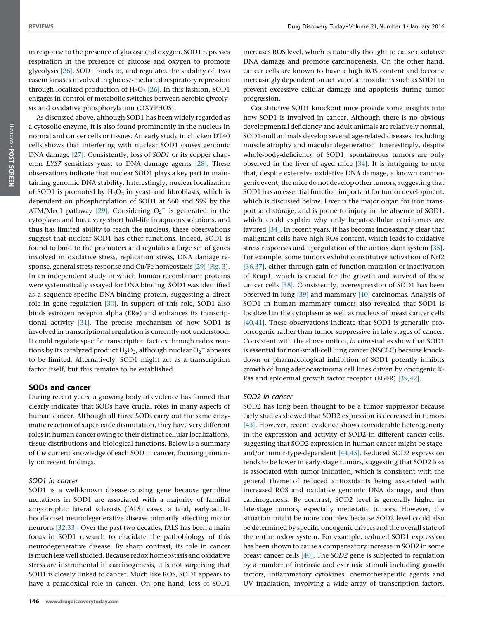in response to the presence of glucose and oxygen. SOD1 represses respiration in the presence of glucose and oxygen to promote glycolysis [\[26\].](#page-6-0) SOD1 binds to, and regulates the stability of, two casein kinases involved in glucose-mediated respiratory repression through localized production of  $H<sub>2</sub>O<sub>2</sub>$  [\[26\].](#page-6-0) In this fashion, SOD1 engages in control of metabolic switches between aerobic glycolysis and oxidative phosphorylation (OXYPHOS).

As discussed above, although SOD1 has been widely regarded as a cytosolic enzyme, it is also found prominently in the nucleus in normal and cancer cells or tissues. An early study in chicken DT40 cells shows that interfering with nuclear SOD1 causes genomic DNA damage [\[27\]](#page-6-0). Consistently, loss of SOD1 or its copper chaperon LYS7 sensitizes yeast to DNA damage agents [\[28\]](#page-6-0). These observations indicate that nuclear SOD1 plays a key part in maintaining genomic DNA stability. Interestingly, nuclear localization of SOD1 is promoted by  $H_2O_2$  in yeast and fibroblasts, which is dependent on phosphorylation of SOD1 at S60 and S99 by the ATM/Mec1 pathway [\[29\]](#page-6-0). Considering  $O_2^-$  is generated in the cytoplasm and has a very short half-life in aqueous solutions, and thus has limited ability to reach the nucleus, these observations suggest that nuclear SOD1 has other functions. Indeed, SOD1 is found to bind to the promoters and regulates a large set of genes involved in oxidative stress, replication stress, DNA damage response, general stress response and Cu/Fe homeostasis [\[29\]](#page-6-0) ([Fig.](#page-2-0) 3). In an independent study in which human recombinant proteins were systematically assayed for DNA binding, SOD1 was identified as a sequence-specific DNA-binding protein, suggesting a direct role in gene regulation [\[30\]](#page-6-0). In support of this role, SOD1 also binds estrogen receptor alpha ( $ER\alpha$ ) and enhances its transcriptional activity [\[31\]](#page-6-0). The precise mechanism of how SOD1 is involved in transcriptional regulation is currently not understood. It could regulate specific transcription factors through redox reactions by its catalyzed product  $\text{H}_{2}\text{O}_{2}$ , although nuclear  $\text{O}_{2}^{-}$  appears to be limited. Alternatively, SOD1 might act as a transcription factor itself, but this remains to be established.

## SODs and cancer

During recent years, a growing body of evidence has formed that clearly indicates that SODs have crucial roles in many aspects of human cancer. Although all three SODs carry out the same enzymatic reaction of superoxide dismutation, they have very different roles in human cancer owing to their distinct cellular localizations, tissue distributions and biological functions. Below is a summary of the current knowledge of each SOD in cancer, focusing primarily on recent findings.

#### SOD1 in cancer

SOD1 is a well-known disease-causing gene because germline mutations in SOD1 are associated with a majority of familial amyotrophic lateral sclerosis (fALS) cases, a fatal, early-adulthood-onset neurodegenerative disease primarily affecting motor neurons [\[32,33\].](#page-6-0) Over the past two decades, fALS has been a main focus in SOD1 research to elucidate the pathobiology of this neurodegenerative disease. By sharp contrast, its role in cancer is much less well studied. Because redox homeostasis and oxidative stress are instrumental in carcinogenesis, it is not surprising that SOD1 is closely linked to cancer. Much like ROS, SOD1 appears to have a paradoxical role in cancer. On one hand, loss of SOD1

increases ROS level, which is naturally thought to cause oxidative DNA damage and promote carcinogenesis. On the other hand, cancer cells are known to have a high ROS content and become increasingly dependent on activated antioxidants such as SOD1 to prevent excessive cellular damage and apoptosis during tumor progression.

Constitutive SOD1 knockout mice provide some insights into how SOD1 is involved in cancer. Although there is no obvious developmental deficiency and adult animals are relatively normal, SOD1-null animals develop several age-related diseases, including muscle atrophy and macular degeneration. Interestingly, despite whole-body-deficiency of SOD1, spontaneous tumors are only observed in the liver of aged mice [\[34\]](#page-6-0). It is intriguing to note that, despite extensive oxidative DNA damage, a known carcinogenic event, the mice do not develop other tumors, suggesting that SOD1 has an essential function important for tumor development, which is discussed below. Liver is the major organ for iron transport and storage, and is prone to injury in the absence of SOD1, which could explain why only hepatocellular carcinomas are favored [\[34\].](#page-6-0) In recent years, it has become increasingly clear that malignant cells have high ROS content, which leads to oxidative stress responses and upregulation of the antioxidant system [\[35\]](#page-6-0). For example, some tumors exhibit constitutive activation of Nrf2 [\[36,37\]](#page-6-0), either through gain-of-function mutation or inactivation of Keap1, which is crucial for the growth and survival of these cancer cells [\[38\].](#page-6-0) Consistently, overexpression of SOD1 has been observed in lung [\[39\]](#page-6-0) and mammary [\[40\]](#page-6-0) carcinomas. Analysis of SOD1 in human mammary tumors also revealed that SOD1 is localized in the cytoplasm as well as nucleus of breast cancer cells [\[40,41\]](#page-6-0). These observations indicate that SOD1 is generally prooncogenic rather than tumor suppressive in late stages of cancer. Consistent with the above notion, in vitro studies show that SOD1 is essential for non-small-cell lung cancer (NSCLC) because knockdown or pharmacological inhibition of SOD1 potently inhibits growth of lung adenocarcinoma cell lines driven by oncogenic K-Ras and epidermal growth factor receptor (EGFR) [\[39,42\].](#page-6-0)

## SOD2 in cancer

SOD2 has long been thought to be a tumor suppressor because early studies showed that SOD2 expression is decreased in tumors [\[43\]](#page-6-0). However, recent evidence shows considerable heterogeneity in the expression and activity of SOD2 in different cancer cells, suggesting that SOD2 expression in human cancer might be stageand/or tumor-type-dependent [\[44,45\]](#page-6-0). Reduced SOD2 expression tends to be lower in early-stage tumors, suggesting that SOD2 loss is associated with tumor initiation, which is consistent with the general theme of reduced antioxidants being associated with increased ROS and oxidative genomic DNA damage, and thus carcinogenesis. By contrast, SOD2 level is generally higher in late-stage tumors, especially metastatic tumors. However, the situation might be more complex because SOD2 level could also be determined by specific oncogenic drivers and the overall state of the entire redox system. For example, reduced SOD1 expression has been shown to cause a compensatory increase in SOD2 in some breast cancer cells [\[40\]](#page-6-0). The SOD2 gene is subjected to regulation by a number of intrinsic and extrinsic stimuli including growth factors, inflammatory cytokines, chemotherapeutic agents and UV irradiation, involving a wide array of transcription factors,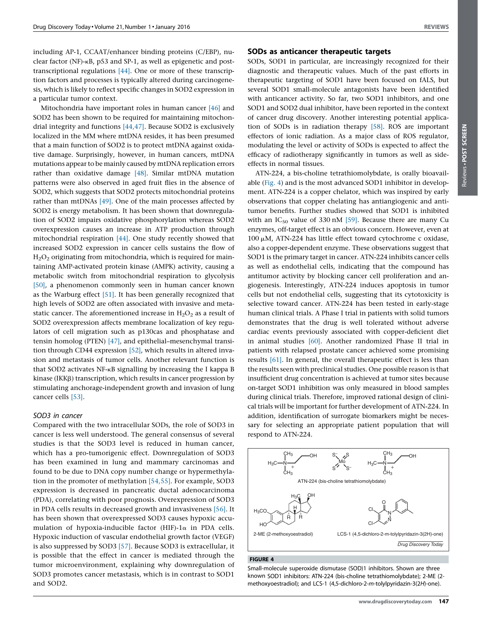<span id="page-4-0"></span>including AP-1, CCAAT/enhancer binding proteins (C/EBP), nuclear factor (NF)-kB, p53 and SP-1, as well as epigenetic and posttranscriptional regulations [\[44\].](#page-6-0) One or more of these transcription factors and processes is typically altered during carcinogenesis, which is likely to reflect specific changes in SOD2 expression in a particular tumor context.

Mitochondria have important roles in human cancer [\[46\]](#page-6-0) and SOD2 has been shown to be required for maintaining mitochondrial integrity and functions [\[44,47\].](#page-6-0) Because SOD2 is exclusively localized in the MM where mtDNA resides, it has been presumed that a main function of SOD2 is to protect mtDNA against oxidative damage. Surprisingly, however, in human cancers, mtDNA mutations appearto be mainly caused by mtDNA replication errors rather than oxidative damage [\[48\].](#page-6-0) Similar mtDNA mutation patterns were also observed in aged fruit flies in the absence of SOD2, which suggests that SOD2 protects mitochondrial proteins rather than mtDNAs [\[49\].](#page-6-0) One of the main processes affected by SOD2 is energy metabolism. It has been shown that downregulation of SOD2 impairs oxidative phosphorylation whereas SOD2 overexpression causes an increase in ATP production through mitochondrial respiration [\[44\].](#page-6-0) One study recently showed that increased SOD2 expression in cancer cells sustains the flow of H2O2 originating from mitochondria, which is required for maintaining AMP-activated protein kinase (AMPK) activity, causing a metabolic switch from mitochondrial respiration to glycolysis [\[50\],](#page-6-0) a phenomenon commonly seen in human cancer known as the Warburg effect [\[51\].](#page-6-0) It has been generally recognized that high levels of SOD2 are often associated with invasive and metastatic cancer. The aforementioned increase in  $H_2O_2$  as a result of SOD2 overexpression affects membrane localization of key regulators of cell migration such as p130cas and phosphatase and tensin homolog (PTEN) [\[47\],](#page-6-0) and epithelial–mesenchymal transition through CD44 expression [\[52\],](#page-6-0) which results in altered invasion and metastasis of tumor cells. Another relevant function is that SOD2 activates NF-kB signalling by increasing the I kappa B kinase (IKK<sub>B</sub>) transcription, which results in cancer progression by stimulating anchorage-independent growth and invasion of lung cancer cells [\[53\]](#page-6-0).

#### SOD3 in cancer

Compared with the two intracellular SODs, the role of SOD3 in cancer is less well understood. The general consensus of several studies is that the SOD3 level is reduced in human cancer, which has a pro-tumorigenic effect. Downregulation of SOD3 has been examined in lung and mammary carcinomas and found to be due to DNA copy number change or hypermethylation in the promoter of methylation [\[54,55\].](#page-6-0) For example, SOD3 expression is decreased in pancreatic ductal adenocarcinoma (PDA), correlating with poor prognosis. Overexpression of SOD3 in PDA cells results in decreased growth and invasiveness [\[56\]](#page-6-0). It has been shown that overexpressed SOD3 causes hypoxic accumulation of hypoxia-inducible factor (HIF)-1 $\alpha$  in PDA cells. Hypoxic induction of vascular endothelial growth factor (VEGF) is also suppressed by SOD3 [\[57\].](#page-6-0) Because SOD3 is extracellular, it is possible that the effect in cancer is mediated through the tumor microenvironment, explaining why downregulation of SOD3 promotes cancer metastasis, which is in contrast to SOD1 and SOD2.

#### SODs as anticancer therapeutic targets

SODs, SOD1 in particular, are increasingly recognized for their diagnostic and therapeutic values. Much of the past efforts in therapeutic targeting of SOD1 have been focused on fALS, but several SOD1 small-molecule antagonists have been identified with anticancer activity. So far, two SOD1 inhibitors, and one SOD1 and SOD2 dual inhibitor, have been reported in the context of cancer drug discovery. Another interesting potential application of SODs is in radiation therapy [\[58\].](#page-6-0) ROS are important effectors of ionic radiation. As a major class of ROS regulator, modulating the level or activity of SODs is expected to affect the efficacy of radiotherapy significantly in tumors as well as sideeffects in normal tissues.

ATN-224, a bis-choline tetrathiomolybdate, is orally bioavailable (Fig. 4) and is the most advanced SOD1 inhibitor in development. ATN-224 is a copper chelator, which was inspired by early observations that copper chelating has antiangiogenic and antitumor benefits. Further studies showed that SOD1 is inhibited with an  $IC_{50}$  value of 330 nM [\[59\]](#page-6-0). Because there are many Cu enzymes, off-target effect is an obvious concern. However, even at  $100 \mu$ M, ATN-224 has little effect toward cytochrome c oxidase, also a copper-dependent enzyme. These observations suggest that SOD1 is the primary target in cancer. ATN-224 inhibits cancer cells as well as endothelial cells, indicating that the compound has antitumor activity by blocking cancer cell proliferation and angiogenesis. Interestingly, ATN-224 induces apoptosis in tumor cells but not endothelial cells, suggesting that its cytotoxicity is selective toward cancer. ATN-224 has been tested in early-stage human clinical trials. A Phase I trial in patients with solid tumors demonstrates that the drug is well tolerated without adverse cardiac events previously associated with copper-deficient diet in animal studies [\[60\].](#page-6-0) Another randomized Phase II trial in patients with relapsed prostate cancer achieved some promising results [\[61\]](#page-6-0). In general, the overall therapeutic effect is less than the results seen with preclinical studies. One possible reason is that insufficient drug concentration is achieved at tumor sites because on-target SOD1 inhibition was only measured in blood samples during clinical trials. Therefore, improved rational design of clinical trials will be important for further development of ATN-224. In addition, identification of surrogate biomarkers might be necessary for selecting an appropriate patient population that will respond to ATN-224.



#### FIGURE 4

Small-molecule superoxide dismutase (SOD)1 inhibitors. Shown are three known SOD1 inhibitors: ATN-224 (bis-choline tetrathiomolybdate); 2-ME (2 methoxyoestradiol); and LCS-1 (4,5-dichloro-2-m-tolylpyridazin-3(2H)-one).

 POST SCREEN**SCREEN**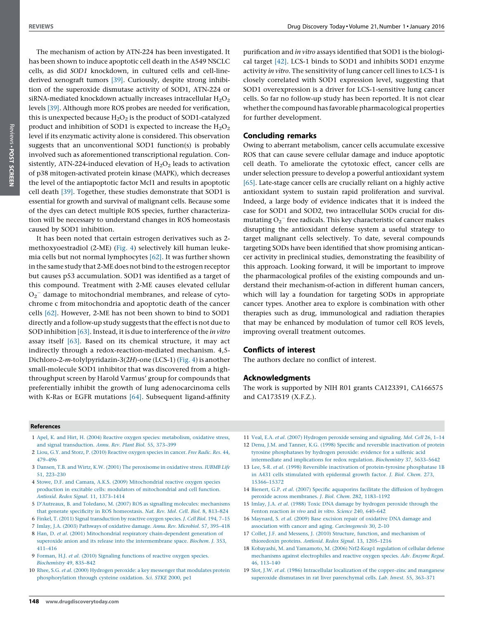<span id="page-5-0"></span>The mechanism of action by ATN-224 has been investigated. It has been shown to induce apoptotic cell death in the A549 NSCLC cells, as did SOD1 knockdown, in cultured cells and cell-linederived xenograft tumors [\[39\].](#page-6-0) Curiously, despite strong inhibition of the superoxide dismutase activity of SOD1, ATN-224 or siRNA-mediated knockdown actually increases intracellular  $H_2O_2$ levels [\[39\]](#page-6-0). Although more ROS probes are needed for verification, this is unexpected because  $H_2O_2$  is the product of SOD1-catalyzed product and inhibition of SOD1 is expected to increase the  $H_2O_2$ level if its enzymatic activity alone is considered. This observation suggests that an unconventional SOD1 function(s) is probably involved such as aforementioned transcriptional regulation. Consistently, ATN-224-induced elevation of  $H_2O_2$  leads to activation of p38 mitogen-activated protein kinase (MAPK), which decreases the level of the antiapoptotic factor Mcl1 and results in apoptotic cell death [\[39\].](#page-6-0) Together, these studies demonstrate that SOD1 is essential for growth and survival of malignant cells. Because some of the dyes can detect multiple ROS species, further characterization will be necessary to understand changes in ROS homeostasis caused by SOD1 inhibition.

It has been noted that certain estrogen derivatives such as 2 methoxyoestradiol (2-ME) [\(Fig.](#page-4-0) 4) selectively kill human leukemia cells but not normal lymphocytes [\[62\]](#page-6-0). It was further shown in the same study that 2-ME does not bind to the estrogen receptor but causes p53 accumulation. SOD1 was identified as a target of this compound. Treatment with 2-ME causes elevated cellular  $O_2$ <sup>-</sup> damage to mitochondrial membranes, and release of cytochrome c from mitochondria and apoptotic death of the cancer cells [\[62\]](#page-6-0). However, 2-ME has not been shown to bind to SOD1 directly and a follow-up study suggests that the effect is not due to SOD inhibition [\[63\]](#page-6-0). Instead, it is due to interference of the *in vitro* assay itself [\[63\]](#page-6-0). Based on its chemical structure, it may act indirectly through a redox-reaction-mediated mechanism. 4,5- Dichloro-2-m-tolylpyridazin-3(2H)-one (LCS-1) ([Fig.](#page-4-0) 4) is another small-molecule SOD1 inhibitor that was discovered from a highthroughput screen by Harold Varmus' group for compounds that preferentially inhibit the growth of lung adenocarcinoma cells with K-Ras or EGFR mutations [\[64\].](#page-6-0) Subsequent ligand-affinity

purification and in vitro assays identified that SOD1 is the biological target [\[42\].](#page-6-0) LCS-1 binds to SOD1 and inhibits SOD1 enzyme activity in vitro. The sensitivity of lung cancer cell lines to LCS-1 is closely correlated with SOD1 expression level, suggesting that SOD1 overexpression is a driver for LCS-1-sensitive lung cancer cells. So far no follow-up study has been reported. It is not clear whether the compound has favorable pharmacological properties for further development.

# Concluding remarks

Owing to aberrant metabolism, cancer cells accumulate excessive ROS that can cause severe cellular damage and induce apoptotic cell death. To ameliorate the cytotoxic effect, cancer cells are under selection pressure to develop a powerful antioxidant system [\[65\]](#page-6-0). Late-stage cancer cells are crucially reliant on a highly active antioxidant system to sustain rapid proliferation and survival. Indeed, a large body of evidence indicates that it is indeed the case for SOD1 and SOD2, two intracellular SODs crucial for dismutating  $O_2^-$  free radicals. This key characteristic of cancer makes disrupting the antioxidant defense system a useful strategy to target malignant cells selectively. To date, several compounds targeting SODs have been identified that show promising anticancer activity in preclinical studies, demonstrating the feasibility of this approach. Looking forward, it will be important to improve the pharmacological profiles of the existing compounds and understand their mechanism-of-action in different human cancers, which will lay a foundation for targeting SODs in appropriate cancer types. Another area to explore is combination with other therapies such as drug, immunological and radiation therapies that may be enhanced by modulation of tumor cell ROS levels, improving overall treatment outcomes.

# Conflicts of interest

The authors declare no conflict of interest.

#### Acknowledgments

The work is supported by NIH R01 grants CA123391, CA166575 and CA173519 (X.F.Z.).

#### References

- 1 Apel, K. and Hirt, H. (2004) Reactive oxygen species: [metabolism,](http://refhub.elsevier.com/S1359-6446(15)00378-5/sbref0330) oxidative stress, and signal [transduction.](http://refhub.elsevier.com/S1359-6446(15)00378-5/sbref0330) Annu. Rev. Plant Biol. 55, 373–399
- 2 Liou, G.Y. and Storz, P. (2010) [Reactive](http://refhub.elsevier.com/S1359-6446(15)00378-5/sbref0335) oxygen species in cancer. Free Radic. Res. 44, [479–496](http://refhub.elsevier.com/S1359-6446(15)00378-5/sbref0335)
- 3 Dansen, T.B. and Wirtz, K.W. (2001) The [peroxisome](http://refhub.elsevier.com/S1359-6446(15)00378-5/sbref0340) in oxidative stress. IUBMB Life 51, [223–230](http://refhub.elsevier.com/S1359-6446(15)00378-5/sbref0340)
- 4 Stowe, D.F. and Camara, A.K.S. (2009) [Mitochondrial](http://refhub.elsevier.com/S1359-6446(15)00378-5/sbref0345) reactive oxygen species production in excitable cells: modulators of [mitochondrial](http://refhub.elsevier.com/S1359-6446(15)00378-5/sbref0345) and cell function. Antioxid. Redox Signal. 11, [1373–1414](http://refhub.elsevier.com/S1359-6446(15)00378-5/sbref0345)
- 5 D'Autreaux, B. and Toledano, M. (2007) ROS as signalling molecules: [mechanisms](http://refhub.elsevier.com/S1359-6446(15)00378-5/sbref0350) that generate specificity in ROS [homeostasis.](http://refhub.elsevier.com/S1359-6446(15)00378-5/sbref0350) Nat. Rev. Mol. Cell. Biol. 8, 813–824
- 6 Finkel, T. (2011) Signal [transduction](http://refhub.elsevier.com/S1359-6446(15)00378-5/sbref0355) by reactive oxygen species. J. Cell Biol. 194, 7–15
- 7 Imlay, J.A. (2003) [Pathways](http://refhub.elsevier.com/S1359-6446(15)00378-5/sbref0360) of oxidative damage. Annu. Rev. Microbiol. 57, 395–418
- 8 Han, D. et al. (2001) Mitochondrial respiratory [chain-dependent](http://refhub.elsevier.com/S1359-6446(15)00378-5/sbref0365) generation of superoxide anion and its release into the [intermembrane](http://refhub.elsevier.com/S1359-6446(15)00378-5/sbref0365) space. Biochem. J. 353, [411–416](http://refhub.elsevier.com/S1359-6446(15)00378-5/sbref0365)
- 9 Forman, H.J. et al. (2010) Signaling [functions](http://refhub.elsevier.com/S1359-6446(15)00378-5/sbref0370) of reactive oxygen species. [Biochemistry](http://refhub.elsevier.com/S1359-6446(15)00378-5/sbref0370) 49, 835–842
- 10 Rhee, S.G. et al. (2000) Hydrogen peroxide: a key messenger that [modulates](http://refhub.elsevier.com/S1359-6446(15)00378-5/sbref0375) protein [phosphorylation](http://refhub.elsevier.com/S1359-6446(15)00378-5/sbref0375) through cysteine oxidation. Sci. STKE 2000, pe1
- 11 Veal, E.A. et al. (2007) [Hydrogen](http://refhub.elsevier.com/S1359-6446(15)00378-5/sbref0380) peroxide sensing and signaling. Mol. Cell 26, 1–14
- 12 Denu, J.M. and Tanner, K.G. (1998) Specific and reversible [inactivation](http://refhub.elsevier.com/S1359-6446(15)00378-5/sbref0385) of protein tyrosine [phosphatases](http://refhub.elsevier.com/S1359-6446(15)00378-5/sbref0385) by hydrogen peroxide: evidence for a sulfenic acid [intermediate](http://refhub.elsevier.com/S1359-6446(15)00378-5/sbref0385) and implications for redox regulation. Biochemistry 37, 5633–5642
- 13 Lee, S-R. et al. (1998) Reversible inactivation of [protein-tyrosine](http://refhub.elsevier.com/S1359-6446(15)00378-5/sbref0390) phosphatase 1B in A431 cells [stimulated](http://refhub.elsevier.com/S1359-6446(15)00378-5/sbref0390) with epidermal growth factor. J. Biol. Chem. 273, [15366–15372](http://refhub.elsevier.com/S1359-6446(15)00378-5/sbref0390)
- 14 Bienert, G.P. et al. (2007) Specific [aquaporins](http://refhub.elsevier.com/S1359-6446(15)00378-5/sbref0395) facilitate the diffusion of hydrogen peroxide across [membranes.](http://refhub.elsevier.com/S1359-6446(15)00378-5/sbref0395) J. Biol. Chem. 282, 1183–1192
- 15 Imlay, J.A. et al. (1988) Toxic DNA damage by [hydrogen](http://refhub.elsevier.com/S1359-6446(15)00378-5/sbref0400) peroxide through the Fenton reaction in vivo and in vitro. Science 240, [640–642](http://refhub.elsevier.com/S1359-6446(15)00378-5/sbref0400)
- 16 [Maynard,](http://refhub.elsevier.com/S1359-6446(15)00378-5/sbref0405) S. et al. (2009) Base excision repair of oxidative DNA damage and association with cancer and aging. [Carcinogenesis](http://refhub.elsevier.com/S1359-6446(15)00378-5/sbref0405) 30, 2–10
- 17 Collet, J.F. and Messens, J. (2010) Structure, function, and [mechanism](http://refhub.elsevier.com/S1359-6446(15)00378-5/sbref0410) of [thioredoxin](http://refhub.elsevier.com/S1359-6446(15)00378-5/sbref0410) proteins. Antioxid. Redox Signal. 13, 1205–1216
- 18 Kobayashi, M. and [Yamamoto,](http://refhub.elsevier.com/S1359-6446(15)00378-5/sbref0415) M. (2006) Nrf2-Keap1 regulation of cellular defense mechanisms against [electrophiles](http://refhub.elsevier.com/S1359-6446(15)00378-5/sbref0415) and reactive oxygen species. Adv. Enzyme Regul. 46, [113–140](http://refhub.elsevier.com/S1359-6446(15)00378-5/sbref0415)
- 19 Slot, J.W. et al. (1986) [Intracellular](http://refhub.elsevier.com/S1359-6446(15)00378-5/sbref0420) localization of the copper–zinc and manganese superoxide dismutases in rat liver [parenchymal](http://refhub.elsevier.com/S1359-6446(15)00378-5/sbref0420) cells. Lab. Invest. 55, 363–371